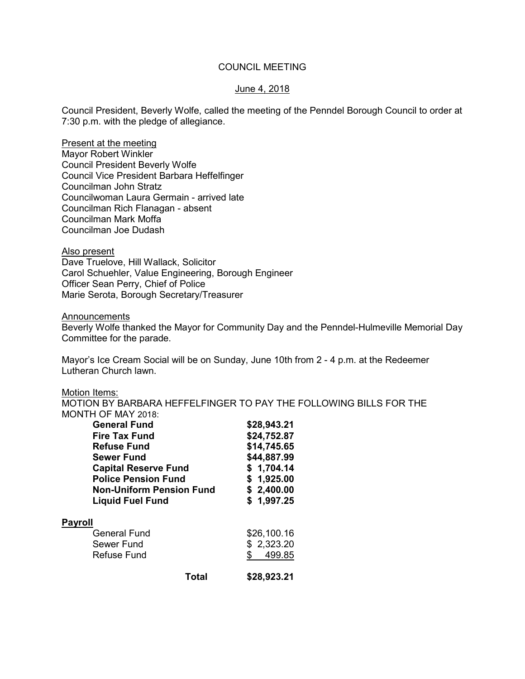## COUNCIL MEETING

### June 4, 2018

Council President, Beverly Wolfe, called the meeting of the Penndel Borough Council to order at 7:30 p.m. with the pledge of allegiance.

Present at the meeting Mayor Robert Winkler Council President Beverly Wolfe Council Vice President Barbara Heffelfinger Councilman John Stratz Councilwoman Laura Germain - arrived late Councilman Rich Flanagan - absent Councilman Mark Moffa Councilman Joe Dudash

Also present

Dave Truelove, Hill Wallack, Solicitor Carol Schuehler, Value Engineering, Borough Engineer Officer Sean Perry, Chief of Police Marie Serota, Borough Secretary/Treasurer

Announcements

Beverly Wolfe thanked the Mayor for Community Day and the Penndel-Hulmeville Memorial Day Committee for the parade.

Mayor's Ice Cream Social will be on Sunday, June 10th from 2 - 4 p.m. at the Redeemer Lutheran Church lawn.

#### Motion Items:

MOTION BY BARBARA HEFFELFINGER TO PAY THE FOLLOWING BILLS FOR THE MONTH OF MAY 2018:

| <b>General Fund</b>                | \$28,943.21                              |  |
|------------------------------------|------------------------------------------|--|
| Fire Tax Fund                      | \$24,752.87                              |  |
| <b>Refuse Fund</b>                 | \$14,745.65<br>\$44,887.99<br>\$1,704.14 |  |
| <b>Sewer Fund</b>                  |                                          |  |
| <b>Capital Reserve Fund</b>        |                                          |  |
| <b>Police Pension Fund</b>         | \$1,925.00                               |  |
| <b>Non-Uniform Pension Fund</b>    | \$2,400.00                               |  |
| <b>Liquid Fuel Fund</b>            | \$1,997.25                               |  |
| <b>Payroll</b>                     |                                          |  |
| \$26,100.16<br><b>General Fund</b> |                                          |  |
| Sewer Fund                         | \$2,323.20                               |  |
| Refuse Fund                        | 499.85<br>\$.                            |  |
| Total                              | \$28,923.21                              |  |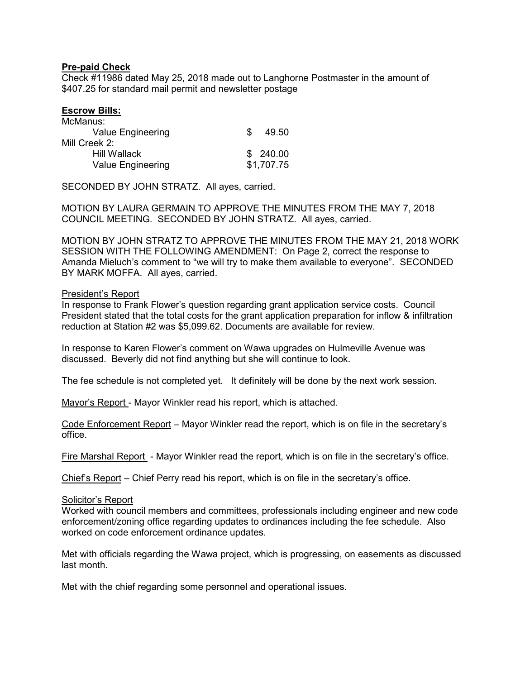# **Pre-paid Check**

Check #11986 dated May 25, 2018 made out to Langhorne Postmaster in the amount of \$407.25 for standard mail permit and newsletter postage

### **Escrow Bills:**

| SS. | 49.50      |
|-----|------------|
|     |            |
|     | \$ 240.00  |
|     | \$1,707.75 |
|     |            |

SECONDED BY JOHN STRATZ. All ayes, carried.

MOTION BY LAURA GERMAIN TO APPROVE THE MINUTES FROM THE MAY 7, 2018 COUNCIL MEETING. SECONDED BY JOHN STRATZ. All ayes, carried.

MOTION BY JOHN STRATZ TO APPROVE THE MINUTES FROM THE MAY 21, 2018 WORK SESSION WITH THE FOLLOWING AMENDMENT: On Page 2, correct the response to Amanda Mieluch's comment to "we will try to make them available to everyone". SECONDED BY MARK MOFFA. All ayes, carried.

#### President's Report

In response to Frank Flower's question regarding grant application service costs. Council President stated that the total costs for the grant application preparation for inflow & infiltration reduction at Station #2 was \$5,099.62. Documents are available for review.

In response to Karen Flower's comment on Wawa upgrades on Hulmeville Avenue was discussed. Beverly did not find anything but she will continue to look.

The fee schedule is not completed yet. It definitely will be done by the next work session.

Mayor's Report - Mayor Winkler read his report, which is attached.

Code Enforcement Report – Mayor Winkler read the report, which is on file in the secretary's office.

Fire Marshal Report - Mayor Winkler read the report, which is on file in the secretary's office.

Chief's Report – Chief Perry read his report, which is on file in the secretary's office.

#### Solicitor's Report

Worked with council members and committees, professionals including engineer and new code enforcement/zoning office regarding updates to ordinances including the fee schedule. Also worked on code enforcement ordinance updates.

Met with officials regarding the Wawa project, which is progressing, on easements as discussed last month.

Met with the chief regarding some personnel and operational issues.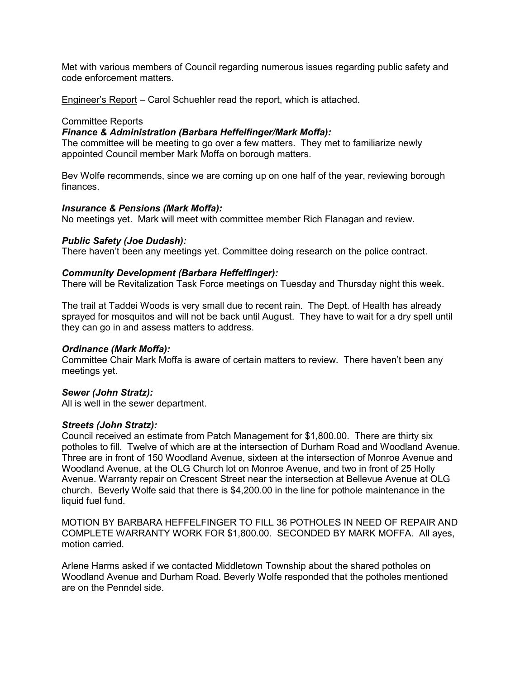Met with various members of Council regarding numerous issues regarding public safety and code enforcement matters.

Engineer's Report – Carol Schuehler read the report, which is attached.

### Committee Reports

## *Finance & Administration (Barbara Heffelfinger/Mark Moffa):*

The committee will be meeting to go over a few matters. They met to familiarize newly appointed Council member Mark Moffa on borough matters.

Bev Wolfe recommends, since we are coming up on one half of the year, reviewing borough finances.

### *Insurance & Pensions (Mark Moffa):*

No meetings yet. Mark will meet with committee member Rich Flanagan and review.

## *Public Safety (Joe Dudash):*

There haven't been any meetings yet. Committee doing research on the police contract.

## *Community Development (Barbara Heffelfinger):*

There will be Revitalization Task Force meetings on Tuesday and Thursday night this week.

The trail at Taddei Woods is very small due to recent rain. The Dept. of Health has already sprayed for mosquitos and will not be back until August. They have to wait for a dry spell until they can go in and assess matters to address.

### *Ordinance (Mark Moffa):*

Committee Chair Mark Moffa is aware of certain matters to review. There haven't been any meetings yet.

### *Sewer (John Stratz):*

All is well in the sewer department.

### *Streets (John Stratz):*

Council received an estimate from Patch Management for \$1,800.00. There are thirty six potholes to fill. Twelve of which are at the intersection of Durham Road and Woodland Avenue. Three are in front of 150 Woodland Avenue, sixteen at the intersection of Monroe Avenue and Woodland Avenue, at the OLG Church lot on Monroe Avenue, and two in front of 25 Holly Avenue. Warranty repair on Crescent Street near the intersection at Bellevue Avenue at OLG church. Beverly Wolfe said that there is \$4,200.00 in the line for pothole maintenance in the liquid fuel fund.

MOTION BY BARBARA HEFFELFINGER TO FILL 36 POTHOLES IN NEED OF REPAIR AND COMPLETE WARRANTY WORK FOR \$1,800.00. SECONDED BY MARK MOFFA. All ayes, motion carried.

Arlene Harms asked if we contacted Middletown Township about the shared potholes on Woodland Avenue and Durham Road. Beverly Wolfe responded that the potholes mentioned are on the Penndel side.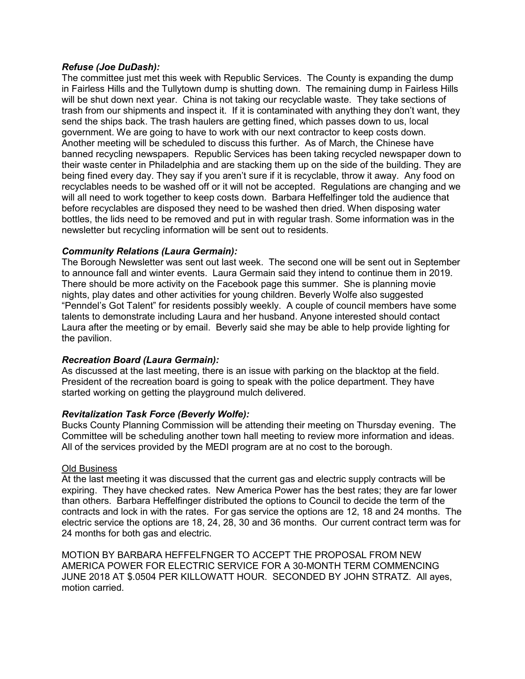## *Refuse (Joe DuDash):*

The committee just met this week with Republic Services. The County is expanding the dump in Fairless Hills and the Tullytown dump is shutting down. The remaining dump in Fairless Hills will be shut down next year. China is not taking our recyclable waste. They take sections of trash from our shipments and inspect it. If it is contaminated with anything they don't want, they send the ships back. The trash haulers are getting fined, which passes down to us, local government. We are going to have to work with our next contractor to keep costs down. Another meeting will be scheduled to discuss this further. As of March, the Chinese have banned recycling newspapers. Republic Services has been taking recycled newspaper down to their waste center in Philadelphia and are stacking them up on the side of the building. They are being fined every day. They say if you aren't sure if it is recyclable, throw it away. Any food on recyclables needs to be washed off or it will not be accepted. Regulations are changing and we will all need to work together to keep costs down. Barbara Heffelfinger told the audience that before recyclables are disposed they need to be washed then dried. When disposing water bottles, the lids need to be removed and put in with regular trash. Some information was in the newsletter but recycling information will be sent out to residents.

# *Community Relations (Laura Germain):*

The Borough Newsletter was sent out last week. The second one will be sent out in September to announce fall and winter events. Laura Germain said they intend to continue them in 2019. There should be more activity on the Facebook page this summer. She is planning movie nights, play dates and other activities for young children. Beverly Wolfe also suggested "Penndel's Got Talent" for residents possibly weekly. A couple of council members have some talents to demonstrate including Laura and her husband. Anyone interested should contact Laura after the meeting or by email. Beverly said she may be able to help provide lighting for the pavilion.

### *Recreation Board (Laura Germain):*

As discussed at the last meeting, there is an issue with parking on the blacktop at the field. President of the recreation board is going to speak with the police department. They have started working on getting the playground mulch delivered.

### *Revitalization Task Force (Beverly Wolfe):*

Bucks County Planning Commission will be attending their meeting on Thursday evening. The Committee will be scheduling another town hall meeting to review more information and ideas. All of the services provided by the MEDI program are at no cost to the borough.

### Old Business

At the last meeting it was discussed that the current gas and electric supply contracts will be expiring. They have checked rates. New America Power has the best rates; they are far lower than others. Barbara Heffelfinger distributed the options to Council to decide the term of the contracts and lock in with the rates. For gas service the options are 12, 18 and 24 months. The electric service the options are 18, 24, 28, 30 and 36 months. Our current contract term was for 24 months for both gas and electric.

MOTION BY BARBARA HEFFELFNGER TO ACCEPT THE PROPOSAL FROM NEW AMERICA POWER FOR ELECTRIC SERVICE FOR A 30-MONTH TERM COMMENCING JUNE 2018 AT \$.0504 PER KILLOWATT HOUR. SECONDED BY JOHN STRATZ. All ayes, motion carried.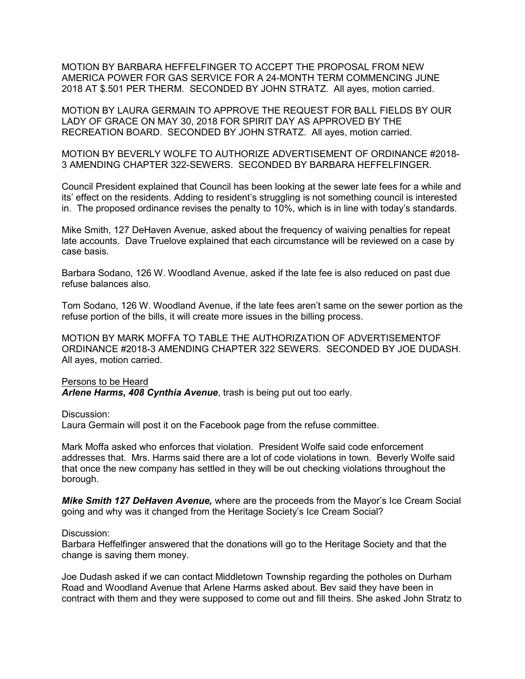MOTION BY BARBARA HEFFELFINGER TO ACCEPT THE PROPOSAL FROM NEW AMERICA POWER FOR GAS SERVICE FOR A 24-MONTH TERM COMMENCING JUNE 2018 AT \$.501 PER THERM. SECONDED BY JOHN STRATZ. All ayes, motion carried.

MOTION BY LAURA GERMAIN TO APPROVE THE REQUEST FOR BALL FIELDS BY OUR LADY OF GRACE ON MAY 30, 2018 FOR SPIRIT DAY AS APPROVED BY THE RECREATION BOARD. SECONDED BY JOHN STRATZ. All ayes, motion carried.

MOTION BY BEVERLY WOLFE TO AUTHORIZE ADVERTISEMENT OF ORDINANCE #2018- 3 AMENDING CHAPTER 322-SEWERS. SECONDED BY BARBARA HEFFELFINGER.

Council President explained that Council has been looking at the sewer late fees for a while and its' effect on the residents. Adding to resident's struggling is not something council is interested in. The proposed ordinance revises the penalty to 10%, which is in line with today's standards.

Mike Smith, 127 DeHaven Avenue, asked about the frequency of waiving penalties for repeat late accounts. Dave Truelove explained that each circumstance will be reviewed on a case by case basis.

Barbara Sodano, 126 W. Woodland Avenue, asked if the late fee is also reduced on past due refuse balances also.

Tom Sodano, 126 W. Woodland Avenue, if the late fees aren't same on the sewer portion as the refuse portion of the bills, it will create more issues in the billing process.

MOTION BY MARK MOFFA TO TABLE THE AUTHORIZATION OF ADVERTISEMENTOF ORDINANCE #2018-3 AMENDING CHAPTER 322 SEWERS. SECONDED BY JOE DUDASH. All ayes, motion carried.

### Persons to be Heard

*Arlene Harms, 408 Cynthia Avenue*, trash is being put out too early.

Discussion:

Laura Germain will post it on the Facebook page from the refuse committee.

Mark Moffa asked who enforces that violation. President Wolfe said code enforcement addresses that. Mrs. Harms said there are a lot of code violations in town. Beverly Wolfe said that once the new company has settled in they will be out checking violations throughout the borough.

*Mike Smith 127 DeHaven Avenue,* where are the proceeds from the Mayor's Ice Cream Social going and why was it changed from the Heritage Society's Ice Cream Social?

#### Discussion:

Barbara Heffelfinger answered that the donations will go to the Heritage Society and that the change is saving them money.

Joe Dudash asked if we can contact Middletown Township regarding the potholes on Durham Road and Woodland Avenue that Arlene Harms asked about. Bev said they have been in contract with them and they were supposed to come out and fill theirs. She asked John Stratz to